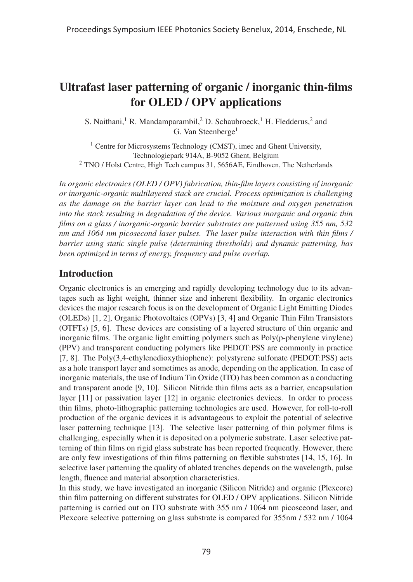# Ultrafast laser patterning of organic / inorganic thin-films for OLED / OPV applications

S. Naithani,<sup>1</sup> R. Mandamparambil,<sup>2</sup> D. Schaubroeck,<sup>1</sup> H. Fledderus,<sup>2</sup> and G. Van Steenberge<sup>1</sup>

<sup>1</sup> Centre for Microsystems Technology (CMST), imec and Ghent University, Technologiepark 914A, B-9052 Ghent, Belgium <sup>2</sup> TNO / Holst Centre, High Tech campus 31, 5656AE, Eindhoven, The Netherlands

*In organic electronics (OLED / OPV) fabrication, thin-film layers consisting of inorganic or inorganic-organic multilayered stack are crucial. Process optimization is challenging as the damage on the barrier layer can lead to the moisture and oxygen penetration into the stack resulting in degradation of the device. Various inorganic and organic thin films on a glass / inorganic-organic barrier substrates are patterned using 355 nm, 532 nm and 1064 nm picosecond laser pulses. The laser pulse interaction with thin films / barrier using static single pulse (determining thresholds) and dynamic patterning, has been optimized in terms of energy, frequency and pulse overlap.*

# Introduction

Organic electronics is an emerging and rapidly developing technology due to its advantages such as light weight, thinner size and inherent flexibility. In organic electronics devices the major research focus is on the development of Organic Light Emitting Diodes (OLEDs) [1, 2], Organic Photovoltaics (OPVs) [3, 4] and Organic Thin Film Transistors (OTFTs) [5, 6]. These devices are consisting of a layered structure of thin organic and inorganic films. The organic light emitting polymers such as Poly(p-phenylene vinylene) (PPV) and transparent conducting polymers like PEDOT:PSS are commonly in practice [7, 8]. The Poly(3,4-ethylenedioxythiophene): polystyrene sulfonate (PEDOT:PSS) acts as a hole transport layer and sometimes as anode, depending on the application. In case of inorganic materials, the use of Indium Tin Oxide (ITO) has been common as a conducting and transparent anode [9, 10]. Silicon Nitride thin films acts as a barrier, encapsulation layer [11] or passivation layer [12] in organic electronics devices. In order to process thin films, photo-lithographic patterning technologies are used. However, for roll-to-roll production of the organic devices it is advantageous to exploit the potential of selective laser patterning technique [13]. The selective laser patterning of thin polymer films is challenging, especially when it is deposited on a polymeric substrate. Laser selective patterning of thin films on rigid glass substrate has been reported frequently. However, there are only few investigations of thin films patterning on flexible substrates [14, 15, 16]. In selective laser patterning the quality of ablated trenches depends on the wavelength, pulse length, fluence and material absorption characteristics.

In this study, we have investigated an inorganic (Silicon Nitride) and organic (Plexcore) thin film patterning on different substrates for OLED / OPV applications. Silicon Nitride patterning is carried out on ITO substrate with 355 nm / 1064 nm picosceond laser, and Plexcore selective patterning on glass substrate is compared for 355nm / 532 nm / 1064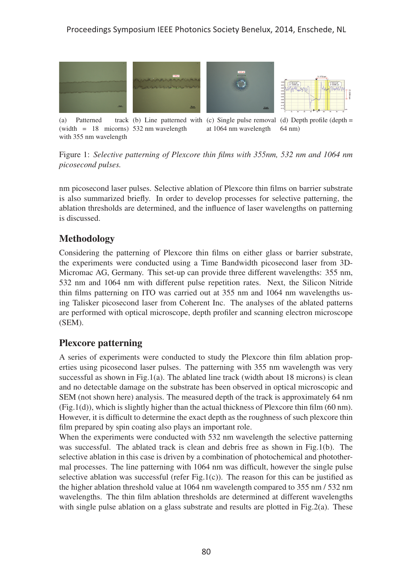#### Proceedings Symposium IEEE Photonics Society Benelux, 2014, Enschede, NL



(a) Patterned (width = 18 micorns) 532 nm wavelength with 355 nm wavelength (b) Line patterned with (c) Single pulse removal (d) Depth profile (depth = at 1064 nm wavelength 64 nm)

Figure 1: *Selective patterning of Plexcore thin films with 355nm, 532 nm and 1064 nm picosecond pulses.*

nm picosecond laser pulses. Selective ablation of Plexcore thin films on barrier substrate is also summarized briefly. In order to develop processes for selective patterning, the ablation thresholds are determined, and the influence of laser wavelengths on patterning is discussed.

## Methodology

Considering the patterning of Plexcore thin films on either glass or barrier substrate, the experiments were conducted using a Time Bandwidth picosecond laser from 3D-Micromac AG, Germany. This set-up can provide three different wavelengths: 355 nm, 532 nm and 1064 nm with different pulse repetition rates. Next, the Silicon Nitride thin films patterning on ITO was carried out at 355 nm and 1064 nm wavelengths using Talisker picosecond laser from Coherent Inc. The analyses of the ablated patterns are performed with optical microscope, depth profiler and scanning electron microscope (SEM).

#### Plexcore patterning

A series of experiments were conducted to study the Plexcore thin film ablation properties using picosecond laser pulses. The patterning with 355 nm wavelength was very successful as shown in Fig.1(a). The ablated line track (width about 18 microns) is clean and no detectable damage on the substrate has been observed in optical microscopic and SEM (not shown here) analysis. The measured depth of the track is approximately 64 nm (Fig.1(d)), which is slightly higher than the actual thickness of Plexcore thin film (60 nm). However, it is difficult to determine the exact depth as the roughness of such plexcore thin film prepared by spin coating also plays an important role.

When the experiments were conducted with 532 nm wavelength the selective patterning was successful. The ablated track is clean and debris free as shown in Fig.1(b). The selective ablation in this case is driven by a combination of photochemical and photothermal processes. The line patterning with 1064 nm was difficult, however the single pulse selective ablation was successful (refer Fig.1(c)). The reason for this can be justified as the higher ablation threshold value at 1064 nm wavelength compared to 355 nm / 532 nm wavelengths. The thin film ablation thresholds are determined at different wavelengths with single pulse ablation on a glass substrate and results are plotted in Fig.2(a). These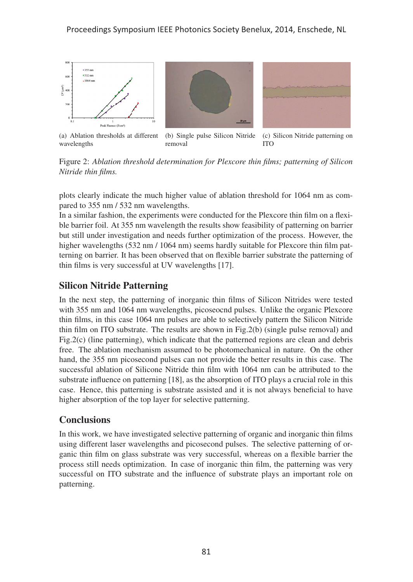

(a) Ablation thresholds at different wavelengths (b) Single pulse Silicon Nitride removal

(c) Silicon Nitride patterning on ITO

Figure 2: *Ablation threshold determination for Plexcore thin films; patterning of Silicon Nitride thin films.*

plots clearly indicate the much higher value of ablation threshold for 1064 nm as compared to 355 nm / 532 nm wavelengths.

In a similar fashion, the experiments were conducted for the Plexcore thin film on a flexible barrier foil. At 355 nm wavelength the results show feasibility of patterning on barrier but still under investigation and needs further optimization of the process. However, the higher wavelengths (532 nm / 1064 nm) seems hardly suitable for Plexcore thin film patterning on barrier. It has been observed that on flexible barrier substrate the patterning of thin films is very successful at UV wavelengths [17].

## Silicon Nitride Patterning

In the next step, the patterning of inorganic thin films of Silicon Nitrides were tested with 355 nm and 1064 nm wavelengths, picoseocnd pulses. Unlike the organic Plexcore thin films, in this case 1064 nm pulses are able to selectively pattern the Silicon Nitride thin film on ITO substrate. The results are shown in Fig.2(b) (single pulse removal) and Fig.2(c) (line patterning), which indicate that the patterned regions are clean and debris free. The ablation mechanism assumed to be photomechanical in nature. On the other hand, the 355 nm picosecond pulses can not provide the better results in this case. The successful ablation of Silicone Nitride thin film with 1064 nm can be attributed to the substrate influence on patterning [18], as the absorption of ITO plays a crucial role in this case. Hence, this patterning is substrate assisted and it is not always beneficial to have higher absorption of the top layer for selective patterning.

## **Conclusions**

In this work, we have investigated selective patterning of organic and inorganic thin films using different laser wavelengths and picosecond pulses. The selective patterning of organic thin film on glass substrate was very successful, whereas on a flexible barrier the process still needs optimization. In case of inorganic thin film, the patterning was very successful on ITO substrate and the influence of substrate plays an important role on patterning.